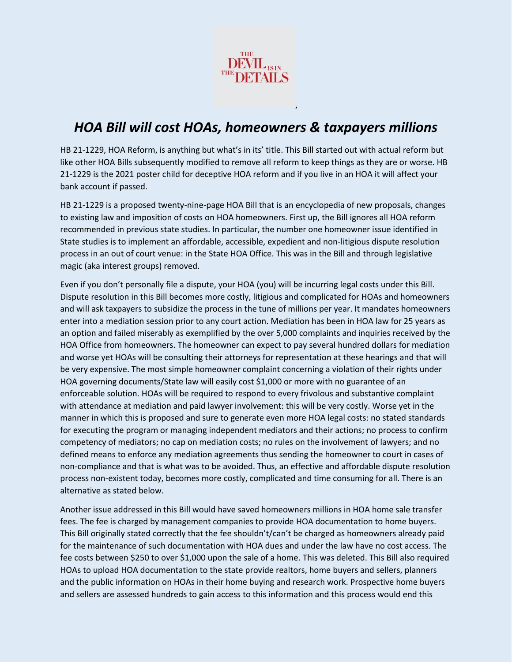

## *HOA Bill will cost HOAs, homeowners & taxpayers millions*

,

HB 21-1229, HOA Reform, is anything but what's in its' title. This Bill started out with actual reform but like other HOA Bills subsequently modified to remove all reform to keep things as they are or worse. HB 21-1229 is the 2021 poster child for deceptive HOA reform and if you live in an HOA it will affect your bank account if passed.

HB 21-1229 is a proposed twenty-nine-page HOA Bill that is an encyclopedia of new proposals, changes to existing law and imposition of costs on HOA homeowners. First up, the Bill ignores all HOA reform recommended in previous state studies. In particular, the number one homeowner issue identified in State studies is to implement an affordable, accessible, expedient and non-litigious dispute resolution process in an out of court venue: in the State HOA Office. This was in the Bill and through legislative magic (aka interest groups) removed.

Even if you don't personally file a dispute, your HOA (you) will be incurring legal costs under this Bill. Dispute resolution in this Bill becomes more costly, litigious and complicated for HOAs and homeowners and will ask taxpayers to subsidize the process in the tune of millions per year. It mandates homeowners enter into a mediation session prior to any court action. Mediation has been in HOA law for 25 years as an option and failed miserably as exemplified by the over 5,000 complaints and inquiries received by the HOA Office from homeowners. The homeowner can expect to pay several hundred dollars for mediation and worse yet HOAs will be consulting their attorneys for representation at these hearings and that will be very expensive. The most simple homeowner complaint concerning a violation of their rights under HOA governing documents/State law will easily cost \$1,000 or more with no guarantee of an enforceable solution. HOAs will be required to respond to every frivolous and substantive complaint with attendance at mediation and paid lawyer involvement: this will be very costly. Worse yet in the manner in which this is proposed and sure to generate even more HOA legal costs: no stated standards for executing the program or managing independent mediators and their actions; no process to confirm competency of mediators; no cap on mediation costs; no rules on the involvement of lawyers; and no defined means to enforce any mediation agreements thus sending the homeowner to court in cases of non-compliance and that is what was to be avoided. Thus, an effective and affordable dispute resolution process non-existent today, becomes more costly, complicated and time consuming for all. There is an alternative as stated below.

Another issue addressed in this Bill would have saved homeowners millions in HOA home sale transfer fees. The fee is charged by management companies to provide HOA documentation to home buyers. This Bill originally stated correctly that the fee shouldn't/can't be charged as homeowners already paid for the maintenance of such documentation with HOA dues and under the law have no cost access. The fee costs between \$250 to over \$1,000 upon the sale of a home. This was deleted. This Bill also required HOAs to upload HOA documentation to the state provide realtors, home buyers and sellers, planners and the public information on HOAs in their home buying and research work. Prospective home buyers and sellers are assessed hundreds to gain access to this information and this process would end this